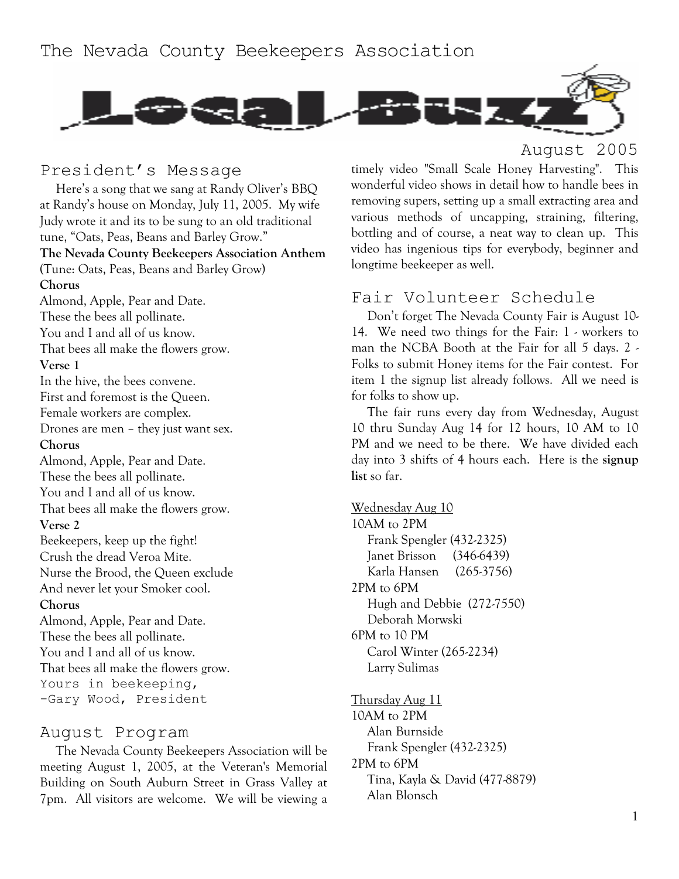

#### President's Message

Here's a song that we sang at Randy Oliver's BBQ at Randy's house on Monday, July 11, 2005. My wife Judy wrote it and its to be sung to an old traditional tune, "Oats, Peas, Beans and Barley Grow." **The Nevada County Beekeepers Association Anthem**  (Tune: Oats, Peas, Beans and Barley Grow) **Chorus**  Almond, Apple, Pear and Date. These the bees all pollinate. You and I and all of us know. That bees all make the flowers grow. **Verse 1**  In the hive, the bees convene. First and foremost is the Queen. Female workers are complex. Drones are men – they just want sex. **Chorus**  Almond, Apple, Pear and Date. These the bees all pollinate. You and I and all of us know. That bees all make the flowers grow. **Verse 2**  Beekeepers, keep up the fight! Crush the dread Veroa Mite. Nurse the Brood, the Queen exclude And never let your Smoker cool. **Chorus**  Almond, Apple, Pear and Date. These the bees all pollinate. You and I and all of us know. That bees all make the flowers grow. Yours in beekeeping, -Gary Wood, President

#### August Program

The Nevada County Beekeepers Association will be meeting August 1, 2005, at the Veteran's Memorial Building on South Auburn Street in Grass Valley at 7pm. All visitors are welcome. We will be viewing a

# August 2005

timely video "Small Scale Honey Harvesting". This wonderful video shows in detail how to handle bees in removing supers, setting up a small extracting area and various methods of uncapping, straining, filtering, bottling and of course, a neat way to clean up. This video has ingenious tips for everybody, beginner and longtime beekeeper as well.

### Fair Volunteer Schedule

Don't forget The Nevada County Fair is August 10- 14. We need two things for the Fair: 1 - workers to man the NCBA Booth at the Fair for all 5 days. 2 - Folks to submit Honey items for the Fair contest. For item 1 the signup list already follows. All we need is for folks to show up.

The fair runs every day from Wednesday, August 10 thru Sunday Aug 14 for 12 hours, 10 AM to 10 PM and we need to be there. We have divided each day into 3 shifts of 4 hours each. Here is the **signup list** so far.

Wednesday Aug 10 10AM to 2PM Frank Spengler (432-2325) Janet Brisson (346-6439) Karla Hansen (265-3756) 2PM to 6PM Hugh and Debbie (272-7550) Deborah Morwski 6PM to 10 PM Carol Winter (265-2234) Larry Sulimas

Thursday Aug 11 10AM to 2PM Alan Burnside Frank Spengler (432-2325) 2PM to 6PM Tina, Kayla & David (477-8879) Alan Blonsch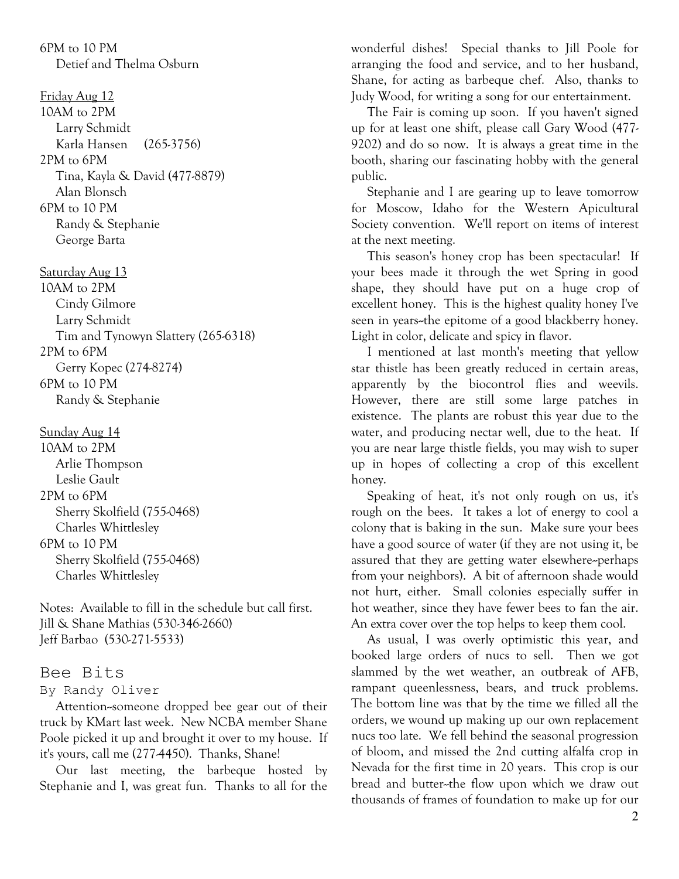6PM to 10 PM Detief and Thelma Osburn

Friday Aug 12

10AM to 2PM Larry Schmidt Karla Hansen (265-3756) 2PM to 6PM Tina, Kayla & David (477-8879) Alan Blonsch 6PM to 10 PM Randy & Stephanie George Barta

Saturday Aug 13 10AM to 2PM Cindy Gilmore Larry Schmidt Tim and Tynowyn Slattery (265-6318) 2PM to 6PM Gerry Kopec (274-8274) 6PM to 10 PM Randy & Stephanie

Sunday Aug 14 10AM to 2PM Arlie Thompson Leslie Gault 2PM to 6PM Sherry Skolfield (755-0468) Charles Whittlesley 6PM to 10 PM Sherry Skolfield (755-0468) Charles Whittlesley

Notes: Available to fill in the schedule but call first. Jill & Shane Mathias (530-346-2660) Jeff Barbao (530-271-5533)

#### Bee Bits

#### By Randy Oliver

Attention--someone dropped bee gear out of their truck by KMart last week. New NCBA member Shane Poole picked it up and brought it over to my house. If it's yours, call me (277-4450). Thanks, Shane!

Our last meeting, the barbeque hosted by Stephanie and I, was great fun. Thanks to all for the wonderful dishes! Special thanks to Jill Poole for arranging the food and service, and to her husband, Shane, for acting as barbeque chef. Also, thanks to Judy Wood, for writing a song for our entertainment.

The Fair is coming up soon. If you haven't signed up for at least one shift, please call Gary Wood (477- 9202) and do so now. It is always a great time in the booth, sharing our fascinating hobby with the general public.

Stephanie and I are gearing up to leave tomorrow for Moscow, Idaho for the Western Apicultural Society convention. We'll report on items of interest at the next meeting.

This season's honey crop has been spectacular! If your bees made it through the wet Spring in good shape, they should have put on a huge crop of excellent honey. This is the highest quality honey I've seen in years-the epitome of a good blackberry honey. Light in color, delicate and spicy in flavor.

I mentioned at last month's meeting that yellow star thistle has been greatly reduced in certain areas, apparently by the biocontrol flies and weevils. However, there are still some large patches in existence. The plants are robust this year due to the water, and producing nectar well, due to the heat. If you are near large thistle fields, you may wish to super up in hopes of collecting a crop of this excellent honey.

Speaking of heat, it's not only rough on us, it's rough on the bees. It takes a lot of energy to cool a colony that is baking in the sun. Make sure your bees have a good source of water (if they are not using it, be assured that they are getting water elsewhere--perhaps from your neighbors). A bit of afternoon shade would not hurt, either. Small colonies especially suffer in hot weather, since they have fewer bees to fan the air. An extra cover over the top helps to keep them cool.

As usual, I was overly optimistic this year, and booked large orders of nucs to sell. Then we got slammed by the wet weather, an outbreak of AFB, rampant queenlessness, bears, and truck problems. The bottom line was that by the time we filled all the orders, we wound up making up our own replacement nucs too late. We fell behind the seasonal progression of bloom, and missed the 2nd cutting alfalfa crop in Nevada for the first time in 20 years. This crop is our bread and butter--the flow upon which we draw out thousands of frames of foundation to make up for our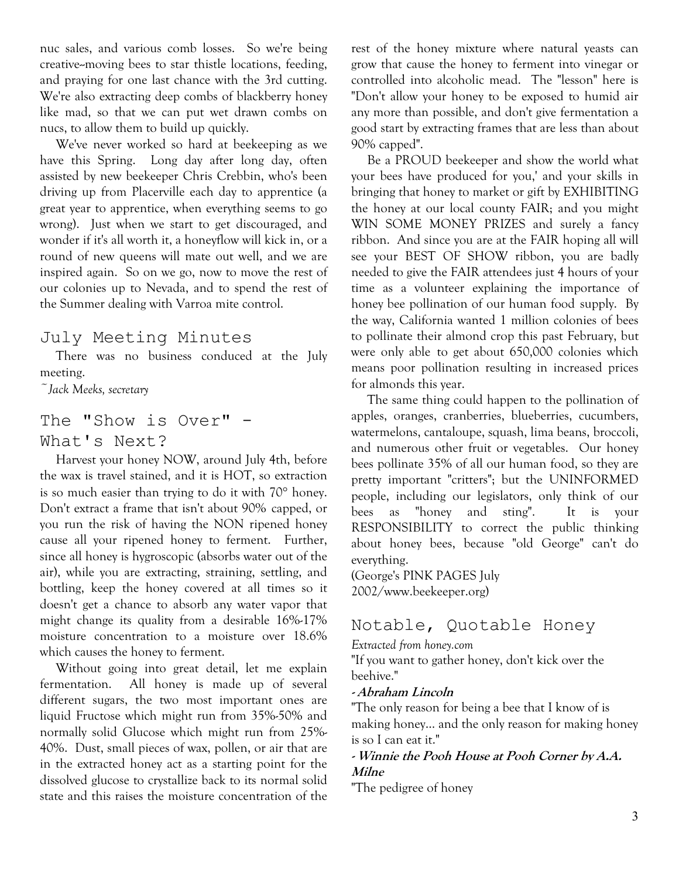nuc sales, and various comb losses. So we're being creative--moving bees to star thistle locations, feeding, and praying for one last chance with the 3rd cutting. We're also extracting deep combs of blackberry honey like mad, so that we can put wet drawn combs on nucs, to allow them to build up quickly.

We've never worked so hard at beekeeping as we have this Spring. Long day after long day, often assisted by new beekeeper Chris Crebbin, who's been driving up from Placerville each day to apprentice (a great year to apprentice, when everything seems to go wrong). Just when we start to get discouraged, and wonder if it's all worth it, a honeyflow will kick in, or a round of new queens will mate out well, and we are inspired again. So on we go, now to move the rest of our colonies up to Nevada, and to spend the rest of the Summer dealing with Varroa mite control.

#### July Meeting Minutes

There was no business conduced at the July meeting.

*~Jack Meeks, secretary* 

# The "Show is Over" - What's Next?

Harvest your honey NOW, around July 4th, before the wax is travel stained, and it is HOT, so extraction is so much easier than trying to do it with 70° honey. Don't extract a frame that isn't about 90% capped, or you run the risk of having the NON ripened honey cause all your ripened honey to ferment. Further, since all honey is hygroscopic (absorbs water out of the air), while you are extracting, straining, settling, and bottling, keep the honey covered at all times so it doesn't get a chance to absorb any water vapor that might change its quality from a desirable 16%-17% moisture concentration to a moisture over 18.6% which causes the honey to ferment.

Without going into great detail, let me explain fermentation. All honey is made up of several different sugars, the two most important ones are liquid Fructose which might run from 35%-50% and normally solid Glucose which might run from 25%- 40%. Dust, small pieces of wax, pollen, or air that are in the extracted honey act as a starting point for the dissolved glucose to crystallize back to its normal solid state and this raises the moisture concentration of the rest of the honey mixture where natural yeasts can grow that cause the honey to ferment into vinegar or controlled into alcoholic mead. The "lesson" here is "Don't allow your honey to be exposed to humid air any more than possible, and don't give fermentation a good start by extracting frames that are less than about 90% capped".

Be a PROUD beekeeper and show the world what your bees have produced for you,' and your skills in bringing that honey to market or gift by EXHIBITING the honey at our local county FAIR; and you might WIN SOME MONEY PRIZES and surely a fancy ribbon. And since you are at the FAIR hoping all will see your BEST OF SHOW ribbon, you are badly needed to give the FAIR attendees just 4 hours of your time as a volunteer explaining the importance of honey bee pollination of our human food supply. By the way, California wanted 1 million colonies of bees to pollinate their almond crop this past February, but were only able to get about 650,000 colonies which means poor pollination resulting in increased prices for almonds this year.

The same thing could happen to the pollination of apples, oranges, cranberries, blueberries, cucumbers, watermelons, cantaloupe, squash, lima beans, broccoli, and numerous other fruit or vegetables. Our honey bees pollinate 35% of all our human food, so they are pretty important "critters"; but the UNINFORMED people, including our legislators, only think of our bees as "honey and sting". It is your RESPONSIBILITY to correct the public thinking about honey bees, because "old George" can't do everything.

(George's PINK PAGES July 2002/www.beekeeper.org)

## Notable, Quotable Honey

#### *Extracted from honey.com*

"If you want to gather honey, don't kick over the beehive."

#### **- Abraham Lincoln**

"The only reason for being a bee that I know of is making honey... and the only reason for making honey is so I can eat it."

#### **- Winnie the Pooh House at Pooh Corner by A.A. Milne**

"The pedigree of honey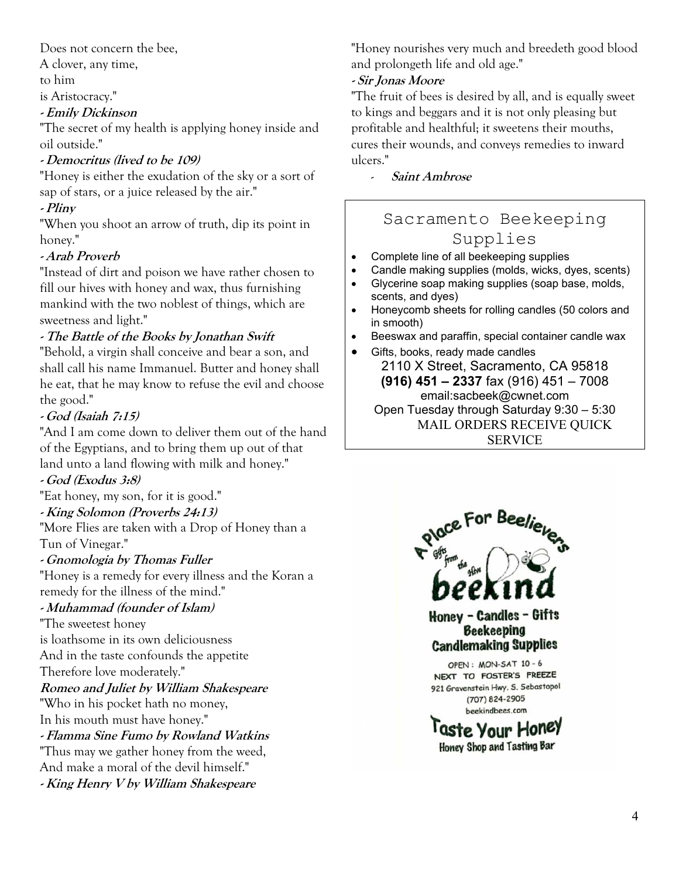Does not concern the bee,

A clover, any time,

to him

is Aristocracy."

#### **- Emily Dickinson**

"The secret of my health is applying honey inside and oil outside."

### **- Democritus (lived to be 109)**

"Honey is either the exudation of the sky or a sort of sap of stars, or a juice released by the air."

#### **- Pliny**

"When you shoot an arrow of truth, dip its point in honey."

### **- Arab Proverb**

"Instead of dirt and poison we have rather chosen to fill our hives with honey and wax, thus furnishing mankind with the two noblest of things, which are sweetness and light."

### **- The Battle of the Books by Jonathan Swift**

"Behold, a virgin shall conceive and bear a son, and shall call his name Immanuel. Butter and honey shall he eat, that he may know to refuse the evil and choose the good."

## **- God (Isaiah 7:15)**

"And I am come down to deliver them out of the hand of the Egyptians, and to bring them up out of that land unto a land flowing with milk and honey."

#### **- God (Exodus 3:8)**

"Eat honey, my son, for it is good."

#### **- King Solomon (Proverbs 24:13)**

"More Flies are taken with a Drop of Honey than a Tun of Vinegar."

#### **- Gnomologia by Thomas Fuller**

"Honey is a remedy for every illness and the Koran a remedy for the illness of the mind."

## **- Muhammad (founder of Islam)**

"The sweetest honey

is loathsome in its own deliciousness

And in the taste confounds the appetite

Therefore love moderately."

## **Romeo and Juliet by William Shakespeare**

"Who in his pocket hath no money,

In his mouth must have honey."

**- Flamma Sine Fumo by Rowland Watkins** "Thus may we gather honey from the weed, And make a moral of the devil himself."

**- King Henry V by William Shakespeare**

"Honey nourishes very much and breedeth good blood and prolongeth life and old age."

### **- Sir Jonas Moore**

"The fruit of bees is desired by all, and is equally sweet to kings and beggars and it is not only pleasing but profitable and healthful; it sweetens their mouths, cures their wounds, and conveys remedies to inward ulcers."

- **Saint Ambrose** 

# Sacramento Beekeeping Supplies

- Complete line of all beekeeping supplies
- Candle making supplies (molds, wicks, dyes, scents)
- Glycerine soap making supplies (soap base, molds, scents, and dyes)
- Honeycomb sheets for rolling candles (50 colors and in smooth)
- Beeswax and paraffin, special container candle wax

• Gifts, books, ready made candles 2110 X Street, Sacramento, CA 95818 **(916) 451 – 2337** fax (916) 451 – 7008 email:sacbeek@cwnet.com Open Tuesday through Saturday 9:30 – 5:30 MAIL ORDERS RECEIVE QUICK SERVICE